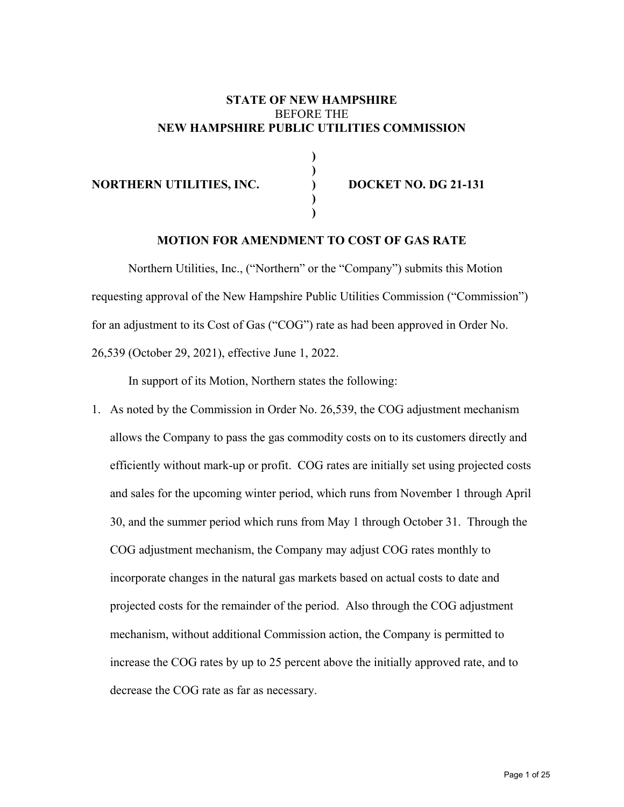#### **STATE OF NEW HAMPSHIRE**  BEFORE THE **NEW HAMPSHIRE PUBLIC UTILITIES COMMISSION**

#### **NORTHERN UTILITIES, INC. ) DOCKET NO. DG 21-131**

 **) )** 

 **) )** 

### **MOTION FOR AMENDMENT TO COST OF GAS RATE**

Northern Utilities, Inc., ("Northern" or the "Company") submits this Motion requesting approval of the New Hampshire Public Utilities Commission ("Commission") for an adjustment to its Cost of Gas ("COG") rate as had been approved in Order No. 26,539 (October 29, 2021), effective June 1, 2022.

In support of its Motion, Northern states the following:

1. As noted by the Commission in Order No. 26,539, the COG adjustment mechanism allows the Company to pass the gas commodity costs on to its customers directly and efficiently without mark-up or profit. COG rates are initially set using projected costs and sales for the upcoming winter period, which runs from November 1 through April 30, and the summer period which runs from May 1 through October 31. Through the COG adjustment mechanism, the Company may adjust COG rates monthly to incorporate changes in the natural gas markets based on actual costs to date and projected costs for the remainder of the period. Also through the COG adjustment mechanism, without additional Commission action, the Company is permitted to increase the COG rates by up to 25 percent above the initially approved rate, and to decrease the COG rate as far as necessary.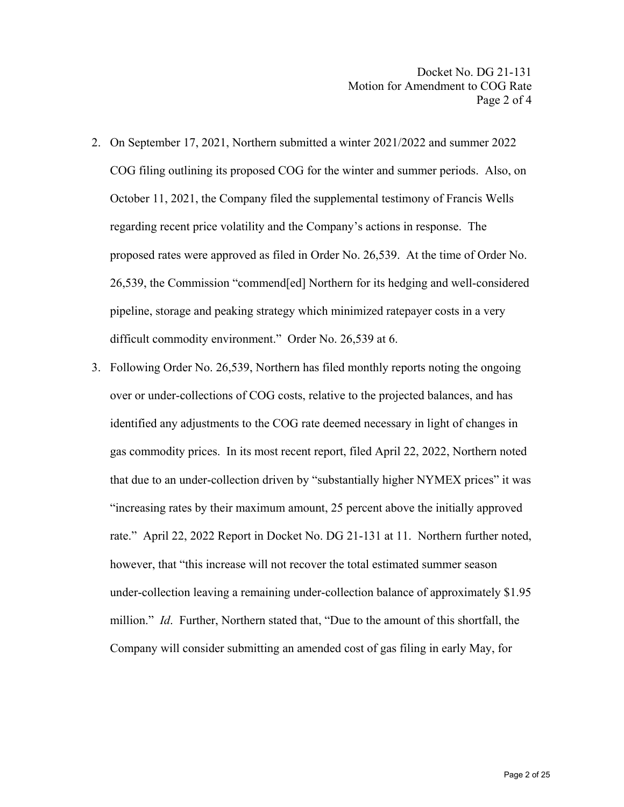- 2. On September 17, 2021, Northern submitted a winter 2021/2022 and summer 2022 COG filing outlining its proposed COG for the winter and summer periods. Also, on October 11, 2021, the Company filed the supplemental testimony of Francis Wells regarding recent price volatility and the Company's actions in response. The proposed rates were approved as filed in Order No. 26,539. At the time of Order No. 26,539, the Commission "commend[ed] Northern for its hedging and well-considered pipeline, storage and peaking strategy which minimized ratepayer costs in a very difficult commodity environment." Order No. 26,539 at 6.
- 3. Following Order No. 26,539, Northern has filed monthly reports noting the ongoing over or under-collections of COG costs, relative to the projected balances, and has identified any adjustments to the COG rate deemed necessary in light of changes in gas commodity prices. In its most recent report, filed April 22, 2022, Northern noted that due to an under-collection driven by "substantially higher NYMEX prices" it was "increasing rates by their maximum amount, 25 percent above the initially approved rate." April 22, 2022 Report in Docket No. DG 21-131 at 11. Northern further noted, however, that "this increase will not recover the total estimated summer season under‐collection leaving a remaining under‐collection balance of approximately \$1.95 million." *Id*. Further, Northern stated that, "Due to the amount of this shortfall, the Company will consider submitting an amended cost of gas filing in early May, for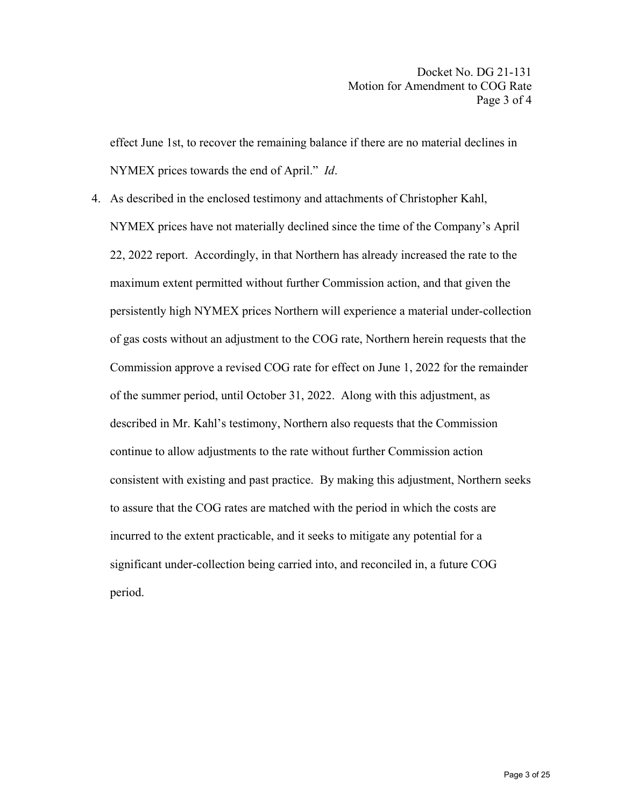effect June 1st, to recover the remaining balance if there are no material declines in NYMEX prices towards the end of April." *Id*.

4. As described in the enclosed testimony and attachments of Christopher Kahl, NYMEX prices have not materially declined since the time of the Company's April 22, 2022 report. Accordingly, in that Northern has already increased the rate to the maximum extent permitted without further Commission action, and that given the persistently high NYMEX prices Northern will experience a material under-collection of gas costs without an adjustment to the COG rate, Northern herein requests that the Commission approve a revised COG rate for effect on June 1, 2022 for the remainder of the summer period, until October 31, 2022. Along with this adjustment, as described in Mr. Kahl's testimony, Northern also requests that the Commission continue to allow adjustments to the rate without further Commission action consistent with existing and past practice. By making this adjustment, Northern seeks to assure that the COG rates are matched with the period in which the costs are incurred to the extent practicable, and it seeks to mitigate any potential for a significant under-collection being carried into, and reconciled in, a future COG period.